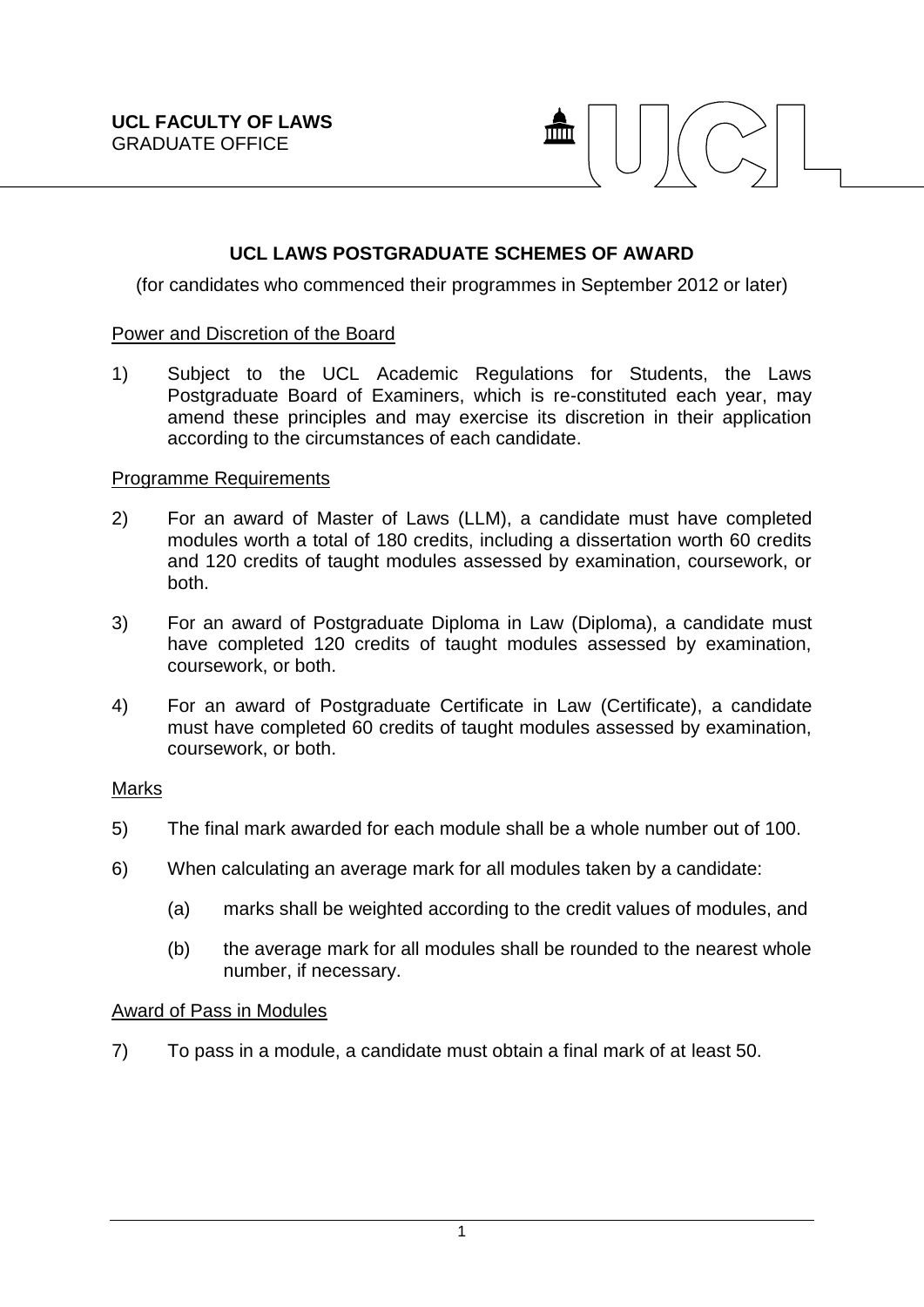

# **UCL LAWS POSTGRADUATE SCHEMES OF AWARD**

(for candidates who commenced their programmes in September 2012 or later)

#### Power and Discretion of the Board

1) Subject to the UCL Academic Regulations for Students, the Laws Postgraduate Board of Examiners, which is re-constituted each year, may amend these principles and may exercise its discretion in their application according to the circumstances of each candidate.

## Programme Requirements

- 2) For an award of Master of Laws (LLM), a candidate must have completed modules worth a total of 180 credits, including a dissertation worth 60 credits and 120 credits of taught modules assessed by examination, coursework, or both.
- 3) For an award of Postgraduate Diploma in Law (Diploma), a candidate must have completed 120 credits of taught modules assessed by examination, coursework, or both.
- 4) For an award of Postgraduate Certificate in Law (Certificate), a candidate must have completed 60 credits of taught modules assessed by examination, coursework, or both.

#### Marks

- 5) The final mark awarded for each module shall be a whole number out of 100.
- 6) When calculating an average mark for all modules taken by a candidate:
	- (a) marks shall be weighted according to the credit values of modules, and
	- (b) the average mark for all modules shall be rounded to the nearest whole number, if necessary.

## Award of Pass in Modules

7) To pass in a module, a candidate must obtain a final mark of at least 50.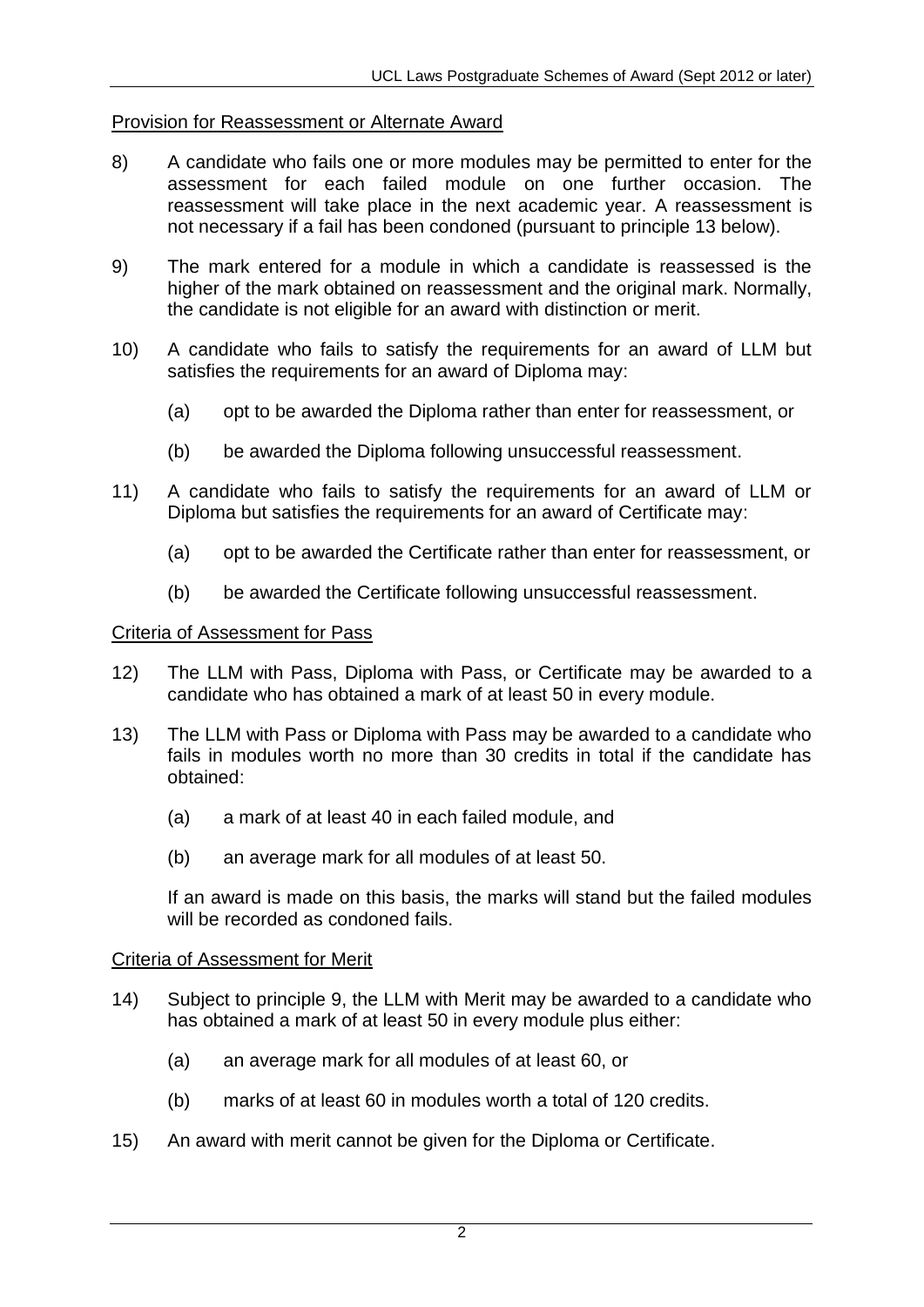## Provision for Reassessment or Alternate Award

- 8) A candidate who fails one or more modules may be permitted to enter for the assessment for each failed module on one further occasion. The reassessment will take place in the next academic year. A reassessment is not necessary if a fail has been condoned (pursuant to principle 13 below).
- 9) The mark entered for a module in which a candidate is reassessed is the higher of the mark obtained on reassessment and the original mark. Normally, the candidate is not eligible for an award with distinction or merit.
- 10) A candidate who fails to satisfy the requirements for an award of LLM but satisfies the requirements for an award of Diploma may:
	- (a) opt to be awarded the Diploma rather than enter for reassessment, or
	- (b) be awarded the Diploma following unsuccessful reassessment.
- 11) A candidate who fails to satisfy the requirements for an award of LLM or Diploma but satisfies the requirements for an award of Certificate may:
	- (a) opt to be awarded the Certificate rather than enter for reassessment, or
	- (b) be awarded the Certificate following unsuccessful reassessment.

#### Criteria of Assessment for Pass

- 12) The LLM with Pass, Diploma with Pass, or Certificate may be awarded to a candidate who has obtained a mark of at least 50 in every module.
- 13) The LLM with Pass or Diploma with Pass may be awarded to a candidate who fails in modules worth no more than 30 credits in total if the candidate has obtained:
	- (a) a mark of at least 40 in each failed module, and
	- (b) an average mark for all modules of at least 50.

If an award is made on this basis, the marks will stand but the failed modules will be recorded as condoned fails.

#### Criteria of Assessment for Merit

- 14) Subject to principle 9, the LLM with Merit may be awarded to a candidate who has obtained a mark of at least 50 in every module plus either:
	- (a) an average mark for all modules of at least 60, or
	- (b) marks of at least 60 in modules worth a total of 120 credits.
- 15) An award with merit cannot be given for the Diploma or Certificate.